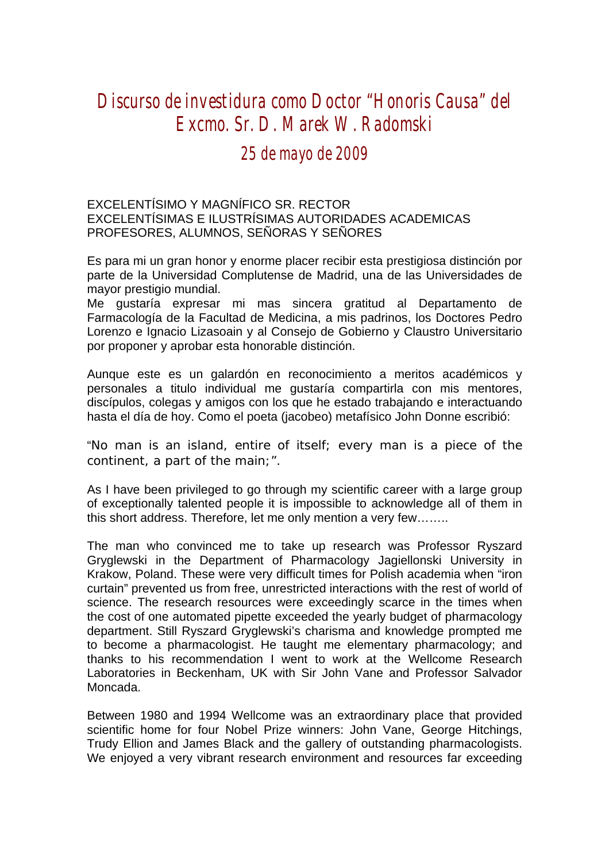## *Discurso de investidura como Doctor "Honoris Causa" del Excmo. Sr. D. Marek W. Radomski*

## *25 de mayo de 2009*

## EXCELENTÍSIMO Y MAGNÍFICO SR. RECTOR EXCELENTÍSIMAS E ILUSTRÍSIMAS AUTORIDADES ACADEMICAS PROFESORES, ALUMNOS, SEÑORAS Y SEÑORES

Es para mi un gran honor y enorme placer recibir esta prestigiosa distinción por parte de la Universidad Complutense de Madrid, una de las Universidades de mayor prestigio mundial.

Me gustaría expresar mi mas sincera gratitud al Departamento de Farmacología de la Facultad de Medicina, a mis padrinos, los Doctores Pedro Lorenzo e Ignacio Lizasoain y al Consejo de Gobierno y Claustro Universitario por proponer y aprobar esta honorable distinción.

Aunque este es un galardón en reconocimiento a meritos académicos y personales a titulo individual me gustaría compartirla con mis mentores, discípulos, colegas y amigos con los que he estado trabajando e interactuando hasta el día de hoy. Como el poeta (jacobeo) metafísico John Donne escribió:

## "*No man is an island, entire of itself; every man is a piece of the continent, a part of the main;*".

As I have been privileged to go through my scientific career with a large group of exceptionally talented people it is impossible to acknowledge all of them in this short address. Therefore, let me only mention a very few……..

The man who convinced me to take up research was Professor Ryszard Gryglewski in the Department of Pharmacology Jagiellonski University in Krakow, Poland. These were very difficult times for Polish academia when "iron curtain" prevented us from free, unrestricted interactions with the rest of world of science. The research resources were exceedingly scarce in the times when the cost of one automated pipette exceeded the yearly budget of pharmacology department. Still Ryszard Gryglewski's charisma and knowledge prompted me to become a pharmacologist. He taught me elementary pharmacology; and thanks to his recommendation I went to work at the Wellcome Research Laboratories in Beckenham, UK with Sir John Vane and Professor Salvador Moncada.

Between 1980 and 1994 Wellcome was an extraordinary place that provided scientific home for four Nobel Prize winners: John Vane, George Hitchings, Trudy Ellion and James Black and the gallery of outstanding pharmacologists. We enjoyed a very vibrant research environment and resources far exceeding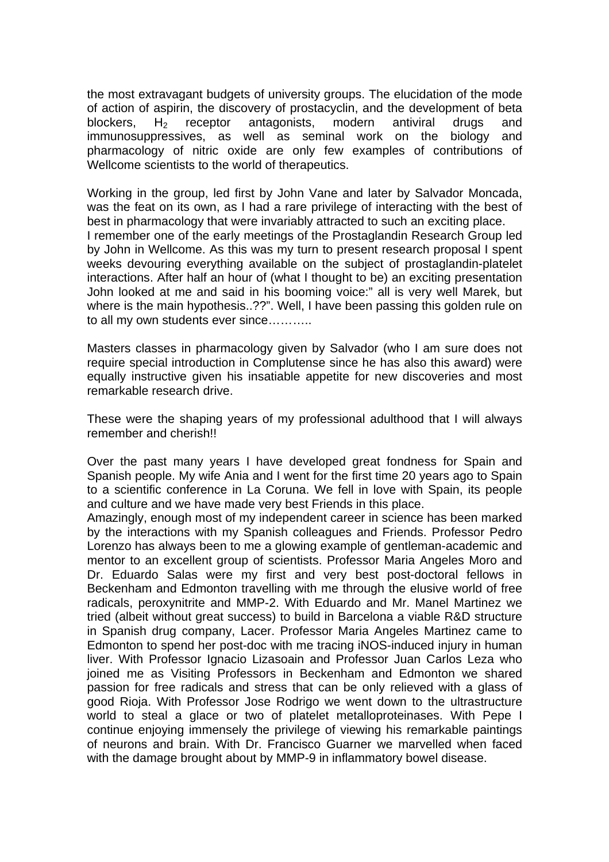the most extravagant budgets of university groups. The elucidation of the mode of action of aspirin, the discovery of prostacyclin, and the development of beta blockers,  $H<sub>2</sub>$  receptor antagonists, modern antiviral drugs and immunosuppressives, as well as seminal work on the biology and pharmacology of nitric oxide are only few examples of contributions of Wellcome scientists to the world of therapeutics.

Working in the group, led first by John Vane and later by Salvador Moncada, was the feat on its own, as I had a rare privilege of interacting with the best of best in pharmacology that were invariably attracted to such an exciting place. I remember one of the early meetings of the Prostaglandin Research Group led by John in Wellcome. As this was my turn to present research proposal I spent weeks devouring everything available on the subject of prostaglandin-platelet interactions. After half an hour of (what I thought to be) an exciting presentation John looked at me and said in his booming voice:" all is very well Marek, but where is the main hypothesis..??". Well, I have been passing this golden rule on to all my own students ever since………..

Masters classes in pharmacology given by Salvador (who I am sure does not require special introduction in Complutense since he has also this award) were equally instructive given his insatiable appetite for new discoveries and most remarkable research drive.

These were the shaping years of my professional adulthood that I will always remember and cherish!!

Over the past many years I have developed great fondness for Spain and Spanish people. My wife Ania and I went for the first time 20 years ago to Spain to a scientific conference in La Coruna. We fell in love with Spain, its people and culture and we have made very best Friends in this place.

Amazingly, enough most of my independent career in science has been marked by the interactions with my Spanish colleagues and Friends. Professor Pedro Lorenzo has always been to me a glowing example of gentleman-academic and mentor to an excellent group of scientists. Professor Maria Angeles Moro and Dr. Eduardo Salas were my first and very best post-doctoral fellows in Beckenham and Edmonton travelling with me through the elusive world of free radicals, peroxynitrite and MMP-2. With Eduardo and Mr. Manel Martinez we tried (albeit without great success) to build in Barcelona a viable R&D structure in Spanish drug company, Lacer. Professor Maria Angeles Martinez came to Edmonton to spend her post-doc with me tracing iNOS-induced injury in human liver. With Professor Ignacio Lizasoain and Professor Juan Carlos Leza who joined me as Visiting Professors in Beckenham and Edmonton we shared passion for free radicals and stress that can be only relieved with a glass of good Rioja. With Professor Jose Rodrigo we went down to the ultrastructure world to steal a glace or two of platelet metalloproteinases. With Pepe I continue enjoying immensely the privilege of viewing his remarkable paintings of neurons and brain. With Dr. Francisco Guarner we marvelled when faced with the damage brought about by MMP-9 in inflammatory bowel disease.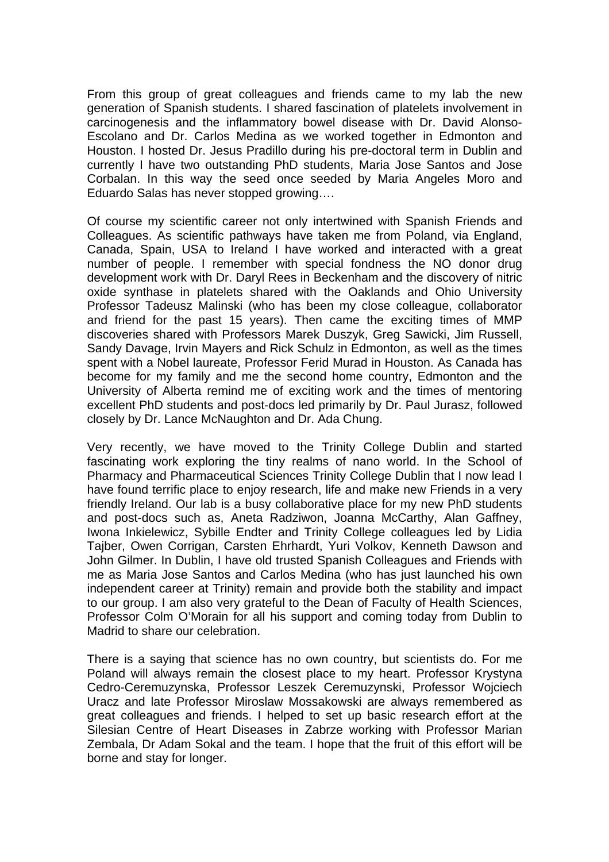From this group of great colleagues and friends came to my lab the new generation of Spanish students. I shared fascination of platelets involvement in carcinogenesis and the inflammatory bowel disease with Dr. David Alonso-Escolano and Dr. Carlos Medina as we worked together in Edmonton and Houston. I hosted Dr. Jesus Pradillo during his pre-doctoral term in Dublin and currently I have two outstanding PhD students, Maria Jose Santos and Jose Corbalan. In this way the seed once seeded by Maria Angeles Moro and Eduardo Salas has never stopped growing….

Of course my scientific career not only intertwined with Spanish Friends and Colleagues. As scientific pathways have taken me from Poland, via England, Canada, Spain, USA to Ireland I have worked and interacted with a great number of people. I remember with special fondness the NO donor drug development work with Dr. Daryl Rees in Beckenham and the discovery of nitric oxide synthase in platelets shared with the Oaklands and Ohio University Professor Tadeusz Malinski (who has been my close colleague, collaborator and friend for the past 15 years). Then came the exciting times of MMP discoveries shared with Professors Marek Duszyk, Greg Sawicki, Jim Russell, Sandy Davage, Irvin Mayers and Rick Schulz in Edmonton, as well as the times spent with a Nobel laureate, Professor Ferid Murad in Houston. As Canada has become for my family and me the second home country, Edmonton and the University of Alberta remind me of exciting work and the times of mentoring excellent PhD students and post-docs led primarily by Dr. Paul Jurasz, followed closely by Dr. Lance McNaughton and Dr. Ada Chung.

Very recently, we have moved to the Trinity College Dublin and started fascinating work exploring the tiny realms of nano world. In the School of Pharmacy and Pharmaceutical Sciences Trinity College Dublin that I now lead I have found terrific place to enjoy research, life and make new Friends in a very friendly Ireland. Our lab is a busy collaborative place for my new PhD students and post-docs such as, Aneta Radziwon, Joanna McCarthy, Alan Gaffney, Iwona Inkielewicz, Sybille Endter and Trinity College colleagues led by Lidia Tajber, Owen Corrigan, Carsten Ehrhardt, Yuri Volkov, Kenneth Dawson and John Gilmer. In Dublin, I have old trusted Spanish Colleagues and Friends with me as Maria Jose Santos and Carlos Medina (who has just launched his own independent career at Trinity) remain and provide both the stability and impact to our group. I am also very grateful to the Dean of Faculty of Health Sciences, Professor Colm O'Morain for all his support and coming today from Dublin to Madrid to share our celebration.

There is a saying that science has no own country, but scientists do. For me Poland will always remain the closest place to my heart. Professor Krystyna Cedro-Ceremuzynska, Professor Leszek Ceremuzynski, Professor Wojciech Uracz and late Professor Miroslaw Mossakowski are always remembered as great colleagues and friends. I helped to set up basic research effort at the Silesian Centre of Heart Diseases in Zabrze working with Professor Marian Zembala, Dr Adam Sokal and the team. I hope that the fruit of this effort will be borne and stay for longer.